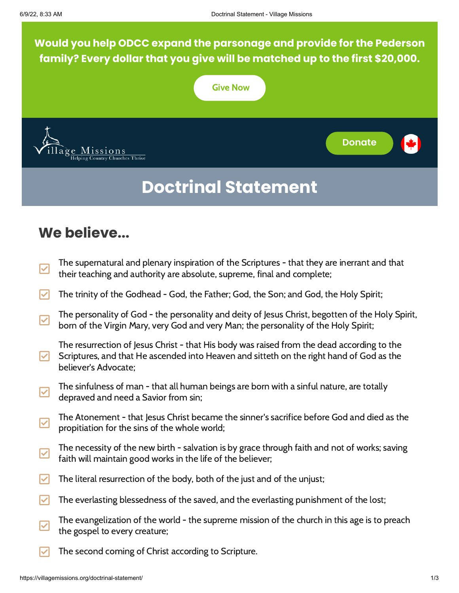**Would you help ODCC expand the parsonage and provide for the Pederson family? Every dollar that you give will be matched up to the first \$20,000.**



# **We believe...**

- $\overline{\bm{\triangledown}}$ The supernatural and plenary inspiration of the Scriptures - that they are inerrant and that their teaching and authority are absolute, supreme, final and complete;
- The trinity of the Godhead God, the Father; God, the Son; and God, the Holy Spirit;
- $\blacktriangledown$ The personality of God - the personality and deity of Jesus Christ, begotten of the Holy Spirit, born of the Virgin Mary, very God and very Man; the personality of the Holy Spirit;
- M The resurrection of Jesus Christ - that His body was raised from the dead according to the Scriptures, and that He ascended into Heaven and sitteth on the right hand of God as the believer's Advocate;
- |✓| The sinfulness of man - that all human beings are born with a sinful nature, are totally depraved and need a Savior from sin;
- $\blacktriangledown$ The Atonement - that Jesus Christ became the sinner's sacrifice before God and died as the propitiation for the sins of the whole world;
- $\blacktriangledown$ The necessity of the new birth - salvation is by grace through faith and not of works; saving faith will maintain good works in the life of the believer;
- $\triangledown$  The literal resurrection of the body, both of the just and of the unjust;
- $\blacktriangleright$  The everlasting blessedness of the saved, and the everlasting punishment of the lost;
- ⊻ The evangelization of the world - the supreme mission of the church in this age is to preach the gospel to every creature;
- The second coming of Christ according to Scripture.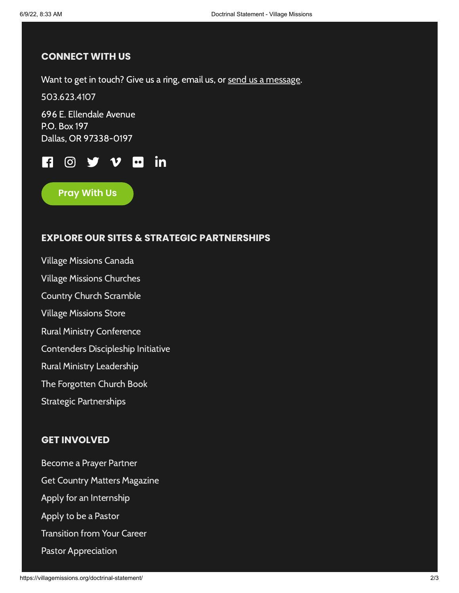### **CONNECT WITH US**

Want to get in touch? Give us a ring, email us, or send us a [message.](https://villagemissions.org/contact-us/)

[503.623.4107](tel:+1.503.623.4107)

696 E. Ellendale Avenue P.O. Box 197 Dallas, OR 97338-0197



**Pray With Us**

## **EXPLORE OUR SITES & STRATEGIC PARTNERSHIPS**

Village [Missions](https://villagemissions.ca/) Canada Village Missions [Churches](https://vmchurches.org/) Country Church [Scramble](https://countrychurchscramble.com/) Village [Missions](https://auctions.villagemissions.org/) Store Rural Ministry [Conference](https://ruralministryconference.org/) Contenders [Discipleship](https://vmcontenders.org/) Initiative Rural Ministry [Leadership](https://www.ruralministry.net/) The [Forgotten](https://glenndaman.com/) Church Book Strategic [Partnerships](https://villagemissions.org/strategic-partnerships/)

### **GET INVOLVED**

[Become](https://villagemissions.org/country-matters/#prayer) a Prayer Partner Get Country Matters [Magazine](https://villagemissions.org/country-matters/) Apply for an [Internship](https://villagemissions.org/pastor-employment-opportunities/) Apply to be a [Pastor](https://villagemissions.org/full-time-missionary-pastor/) [Transition](https://villagemissions.org/second-career/) from Your Career Pastor [Appreciation](https://villagemissions.org/pastor-appreciation/)